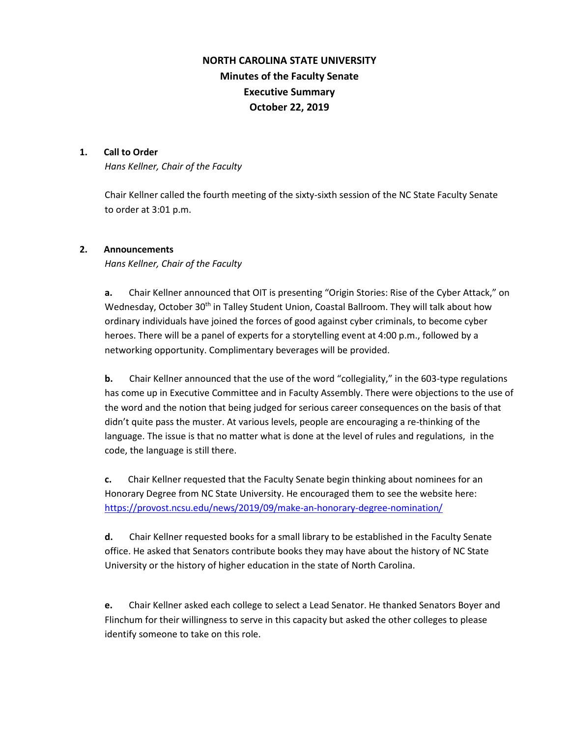# **NORTH CAROLINA STATE UNIVERSITY Minutes of the Faculty Senate Executive Summary October 22, 2019**

# **1. Call to Order**

*Hans Kellner, Chair of the Faculty*

Chair Kellner called the fourth meeting of the sixty-sixth session of the NC State Faculty Senate to order at 3:01 p.m.

# **2. Announcements**

*Hans Kellner, Chair of the Faculty*

**a.** Chair Kellner announced that OIT is presenting "Origin Stories: Rise of the Cyber Attack," on Wednesday, October 30<sup>th</sup> in Talley Student Union, Coastal Ballroom. They will talk about how ordinary individuals have joined the forces of good against cyber criminals, to become cyber heroes. There will be a panel of experts for a storytelling event at 4:00 p.m., followed by a networking opportunity. Complimentary beverages will be provided.

**b.** Chair Kellner announced that the use of the word "collegiality," in the 603-type regulations has come up in Executive Committee and in Faculty Assembly. There were objections to the use of the word and the notion that being judged for serious career consequences on the basis of that didn't quite pass the muster. At various levels, people are encouraging a re-thinking of the language. The issue is that no matter what is done at the level of rules and regulations, in the code, the language is still there.

**c.** Chair Kellner requested that the Faculty Senate begin thinking about nominees for an Honorary Degree from NC State University. He encouraged them to see the website here: <https://provost.ncsu.edu/news/2019/09/make-an-honorary-degree-nomination/>

**d.** Chair Kellner requested books for a small library to be established in the Faculty Senate office. He asked that Senators contribute books they may have about the history of NC State University or the history of higher education in the state of North Carolina.

**e.** Chair Kellner asked each college to select a Lead Senator. He thanked Senators Boyer and Flinchum for their willingness to serve in this capacity but asked the other colleges to please identify someone to take on this role.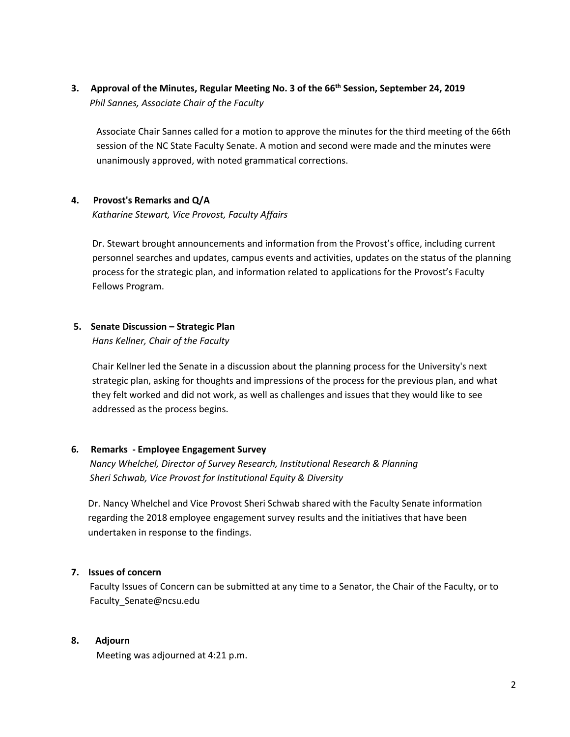**3. Approval of the Minutes, Regular Meeting No. 3 of the 66th Session, September 24, 2019**  *Phil Sannes, Associate Chair of the Faculty*

Associate Chair Sannes called for a motion to approve the minutes for the third meeting of the 66th session of the NC State Faculty Senate. A motion and second were made and the minutes were unanimously approved, with noted grammatical corrections.

# **4. Provost's Remarks and Q/A**

*Katharine Stewart, Vice Provost, Faculty Affairs*

Dr. Stewart brought announcements and information from the Provost's office, including current personnel searches and updates, campus events and activities, updates on the status of the planning process for the strategic plan, and information related to applications for the Provost's Faculty Fellows Program.

# **5. Senate Discussion – Strategic Plan**

*Hans Kellner, Chair of the Faculty* 

Chair Kellner led the Senate in a discussion about the planning process for the University's next strategic plan, asking for thoughts and impressions of the process for the previous plan, and what they felt worked and did not work, as well as challenges and issues that they would like to see addressed as the process begins.

# **6***.* **Remarks - Employee Engagement Survey**

 *Nancy Whelchel, Director of Survey Research, Institutional Research & Planning Sheri Schwab, Vice Provost for Institutional Equity & Diversity*

Dr. Nancy Whelchel and Vice Provost Sheri Schwab shared with the Faculty Senate information regarding the 2018 employee engagement survey results and the initiatives that have been undertaken in response to the findings.

# **7. Issues of concern**

 Faculty Issues of Concern can be submitted at any time to a Senator, the Chair of the Faculty, or to Faculty\_Senate@ncsu.edu

# **8. Adjourn**

Meeting was adjourned at 4:21 p.m.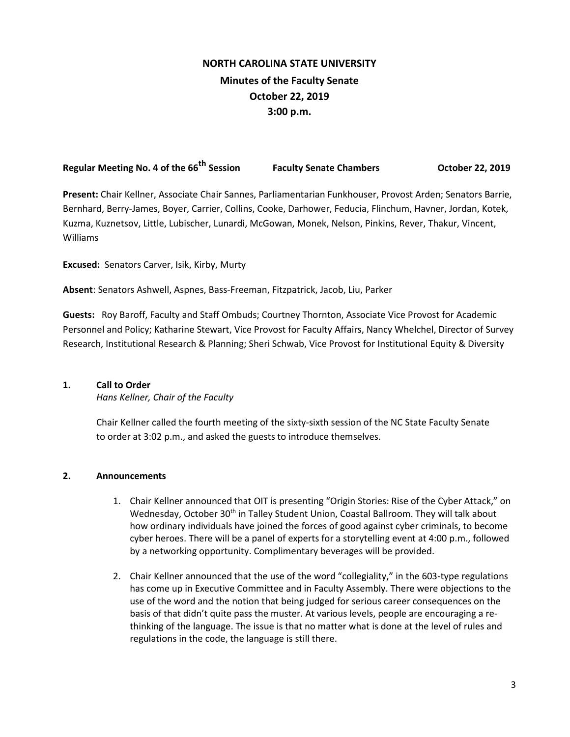# **NORTH CAROLINA STATE UNIVERSITY Minutes of the Faculty Senate October 22, 2019 3:00 p.m.**

**Regular Meeting No. 4 of the 66th Session Faculty Senate Chambers October 22, 2019**

**Present:** Chair Kellner, Associate Chair Sannes, Parliamentarian Funkhouser, Provost Arden; Senators Barrie, Bernhard, Berry-James, Boyer, Carrier, Collins, Cooke, Darhower, Feducia, Flinchum, Havner, Jordan, Kotek, Kuzma, Kuznetsov, Little, Lubischer, Lunardi, McGowan, Monek, Nelson, Pinkins, Rever, Thakur, Vincent, Williams

**Excused:** Senators Carver, Isik, Kirby, Murty

**Absent**: Senators Ashwell, Aspnes, Bass-Freeman, Fitzpatrick, Jacob, Liu, Parker

**Guests:** Roy Baroff, Faculty and Staff Ombuds; Courtney Thornton, Associate Vice Provost for Academic Personnel and Policy; Katharine Stewart, Vice Provost for Faculty Affairs, Nancy Whelchel, Director of Survey Research, Institutional Research & Planning; Sheri Schwab, Vice Provost for Institutional Equity & Diversity

# **1. Call to Order**

*Hans Kellner, Chair of the Faculty*

Chair Kellner called the fourth meeting of the sixty-sixth session of the NC State Faculty Senate to order at 3:02 p.m., and asked the guests to introduce themselves.

# **2. Announcements**

- 1. Chair Kellner announced that OIT is presenting "Origin Stories: Rise of the Cyber Attack," on Wednesday, October 30<sup>th</sup> in Talley Student Union, Coastal Ballroom. They will talk about how ordinary individuals have joined the forces of good against cyber criminals, to become cyber heroes. There will be a panel of experts for a storytelling event at 4:00 p.m., followed by a networking opportunity. Complimentary beverages will be provided.
- 2. Chair Kellner announced that the use of the word "collegiality," in the 603-type regulations has come up in Executive Committee and in Faculty Assembly. There were objections to the use of the word and the notion that being judged for serious career consequences on the basis of that didn't quite pass the muster. At various levels, people are encouraging a rethinking of the language. The issue is that no matter what is done at the level of rules and regulations in the code, the language is still there.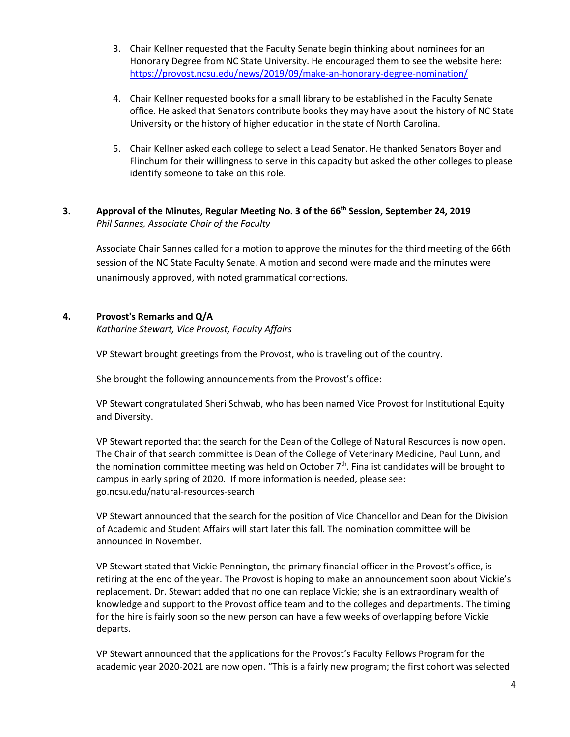- 3. Chair Kellner requested that the Faculty Senate begin thinking about nominees for an Honorary Degree from NC State University. He encouraged them to see the website here: <https://provost.ncsu.edu/news/2019/09/make-an-honorary-degree-nomination/>
- 4. Chair Kellner requested books for a small library to be established in the Faculty Senate office. He asked that Senators contribute books they may have about the history of NC State University or the history of higher education in the state of North Carolina.
- 5. Chair Kellner asked each college to select a Lead Senator. He thanked Senators Boyer and Flinchum for their willingness to serve in this capacity but asked the other colleges to please identify someone to take on this role.

# **3. Approval of the Minutes, Regular Meeting No. 3 of the 66th Session, September 24, 2019** *Phil Sannes, Associate Chair of the Faculty*

Associate Chair Sannes called for a motion to approve the minutes for the third meeting of the 66th session of the NC State Faculty Senate. A motion and second were made and the minutes were unanimously approved, with noted grammatical corrections.

# **4. Provost's Remarks and Q/A**

*Katharine Stewart, Vice Provost, Faculty Affairs*

VP Stewart brought greetings from the Provost, who is traveling out of the country.

She brought the following announcements from the Provost's office:

VP Stewart congratulated Sheri Schwab, who has been named Vice Provost for Institutional Equity and Diversity.

VP Stewart reported that the search for the Dean of the College of Natural Resources is now open. The Chair of that search committee is Dean of the College of Veterinary Medicine, Paul Lunn, and the nomination committee meeting was held on October  $7<sup>th</sup>$ . Finalist candidates will be brought to campus in early spring of 2020. If more information is needed, please see: go.ncsu.edu/natural-resources-search

VP Stewart announced that the search for the position of Vice Chancellor and Dean for the Division of Academic and Student Affairs will start later this fall. The nomination committee will be announced in November.

VP Stewart stated that Vickie Pennington, the primary financial officer in the Provost's office, is retiring at the end of the year. The Provost is hoping to make an announcement soon about Vickie's replacement. Dr. Stewart added that no one can replace Vickie; she is an extraordinary wealth of knowledge and support to the Provost office team and to the colleges and departments. The timing for the hire is fairly soon so the new person can have a few weeks of overlapping before Vickie departs.

VP Stewart announced that the applications for the Provost's Faculty Fellows Program for the academic year 2020-2021 are now open. "This is a fairly new program; the first cohort was selected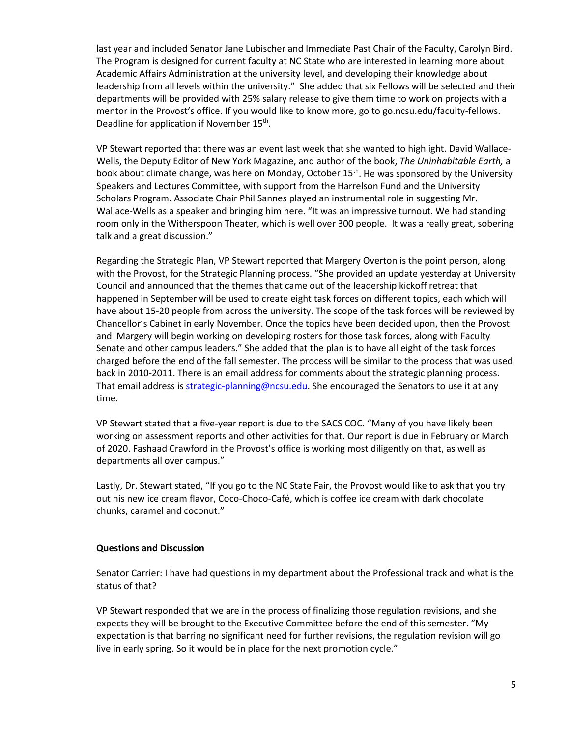last year and included Senator Jane Lubischer and Immediate Past Chair of the Faculty, Carolyn Bird. The Program is designed for current faculty at NC State who are interested in learning more about Academic Affairs Administration at the university level, and developing their knowledge about leadership from all levels within the university." She added that six Fellows will be selected and their departments will be provided with 25% salary release to give them time to work on projects with a mentor in the Provost's office. If you would like to know more, go to go.ncsu.edu/faculty-fellows. Deadline for application if November 15<sup>th</sup>.

VP Stewart reported that there was an event last week that she wanted to highlight. David Wallace-Wells, the Deputy Editor of New York Magazine, and author of the book, *The Uninhabitable Earth,* a book about climate change, was here on Monday, October 15<sup>th</sup>. He was sponsored by the University Speakers and Lectures Committee, with support from the Harrelson Fund and the University Scholars Program. Associate Chair Phil Sannes played an instrumental role in suggesting Mr. Wallace-Wells as a speaker and bringing him here. "It was an impressive turnout. We had standing room only in the Witherspoon Theater, which is well over 300 people. It was a really great, sobering talk and a great discussion."

Regarding the Strategic Plan, VP Stewart reported that Margery Overton is the point person, along with the Provost, for the Strategic Planning process. "She provided an update yesterday at University Council and announced that the themes that came out of the leadership kickoff retreat that happened in September will be used to create eight task forces on different topics, each which will have about 15-20 people from across the university. The scope of the task forces will be reviewed by Chancellor's Cabinet in early November. Once the topics have been decided upon, then the Provost and Margery will begin working on developing rosters for those task forces, along with Faculty Senate and other campus leaders." She added that the plan is to have all eight of the task forces charged before the end of the fall semester. The process will be similar to the process that was used back in 2010-2011. There is an email address for comments about the strategic planning process. That email address i[s strategic-planning@ncsu.edu.](mailto:strategic-planning@ncsu.edu) She encouraged the Senators to use it at any time.

VP Stewart stated that a five-year report is due to the SACS COC. "Many of you have likely been working on assessment reports and other activities for that. Our report is due in February or March of 2020. Fashaad Crawford in the Provost's office is working most diligently on that, as well as departments all over campus."

Lastly, Dr. Stewart stated, "If you go to the NC State Fair, the Provost would like to ask that you try out his new ice cream flavor, Coco-Choco-Café, which is coffee ice cream with dark chocolate chunks, caramel and coconut."

# **Questions and Discussion**

Senator Carrier: I have had questions in my department about the Professional track and what is the status of that?

VP Stewart responded that we are in the process of finalizing those regulation revisions, and she expects they will be brought to the Executive Committee before the end of this semester. "My expectation is that barring no significant need for further revisions, the regulation revision will go live in early spring. So it would be in place for the next promotion cycle."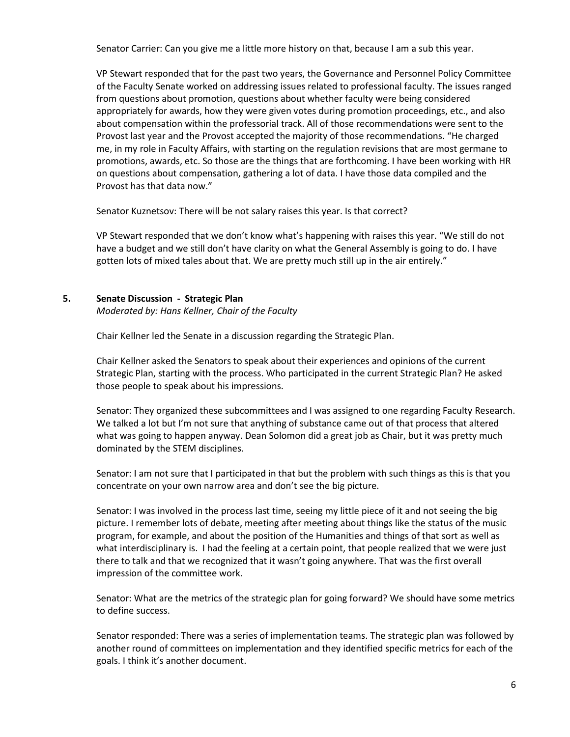Senator Carrier: Can you give me a little more history on that, because I am a sub this year.

VP Stewart responded that for the past two years, the Governance and Personnel Policy Committee of the Faculty Senate worked on addressing issues related to professional faculty. The issues ranged from questions about promotion, questions about whether faculty were being considered appropriately for awards, how they were given votes during promotion proceedings, etc., and also about compensation within the professorial track. All of those recommendations were sent to the Provost last year and the Provost accepted the majority of those recommendations. "He charged me, in my role in Faculty Affairs, with starting on the regulation revisions that are most germane to promotions, awards, etc. So those are the things that are forthcoming. I have been working with HR on questions about compensation, gathering a lot of data. I have those data compiled and the Provost has that data now."

Senator Kuznetsov: There will be not salary raises this year. Is that correct?

VP Stewart responded that we don't know what's happening with raises this year. "We still do not have a budget and we still don't have clarity on what the General Assembly is going to do. I have gotten lots of mixed tales about that. We are pretty much still up in the air entirely."

#### **5. Senate Discussion - Strategic Plan**

*Moderated by: Hans Kellner, Chair of the Faculty* 

Chair Kellner led the Senate in a discussion regarding the Strategic Plan.

Chair Kellner asked the Senators to speak about their experiences and opinions of the current Strategic Plan, starting with the process. Who participated in the current Strategic Plan? He asked those people to speak about his impressions.

Senator: They organized these subcommittees and I was assigned to one regarding Faculty Research. We talked a lot but I'm not sure that anything of substance came out of that process that altered what was going to happen anyway. Dean Solomon did a great job as Chair, but it was pretty much dominated by the STEM disciplines.

Senator: I am not sure that I participated in that but the problem with such things as this is that you concentrate on your own narrow area and don't see the big picture.

Senator: I was involved in the process last time, seeing my little piece of it and not seeing the big picture. I remember lots of debate, meeting after meeting about things like the status of the music program, for example, and about the position of the Humanities and things of that sort as well as what interdisciplinary is. I had the feeling at a certain point, that people realized that we were just there to talk and that we recognized that it wasn't going anywhere. That was the first overall impression of the committee work.

Senator: What are the metrics of the strategic plan for going forward? We should have some metrics to define success.

Senator responded: There was a series of implementation teams. The strategic plan was followed by another round of committees on implementation and they identified specific metrics for each of the goals. I think it's another document.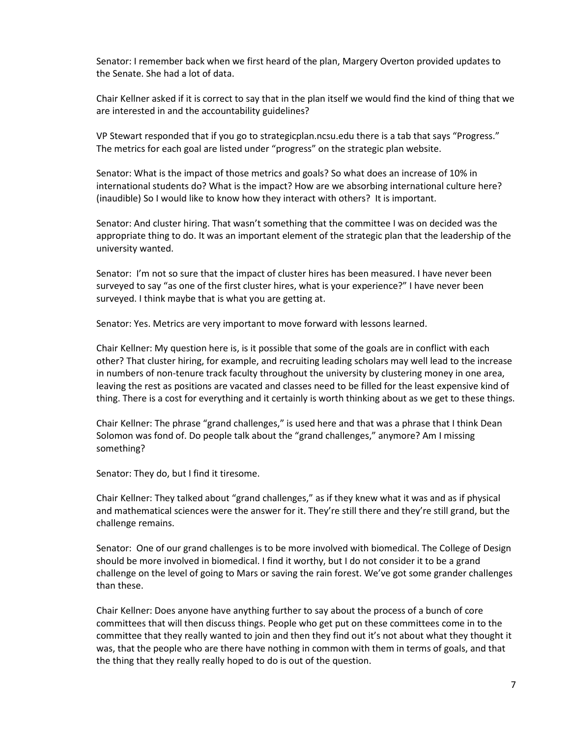Senator: I remember back when we first heard of the plan, Margery Overton provided updates to the Senate. She had a lot of data.

Chair Kellner asked if it is correct to say that in the plan itself we would find the kind of thing that we are interested in and the accountability guidelines?

VP Stewart responded that if you go to strategicplan.ncsu.edu there is a tab that says "Progress." The metrics for each goal are listed under "progress" on the strategic plan website.

Senator: What is the impact of those metrics and goals? So what does an increase of 10% in international students do? What is the impact? How are we absorbing international culture here? (inaudible) So I would like to know how they interact with others? It is important.

Senator: And cluster hiring. That wasn't something that the committee I was on decided was the appropriate thing to do. It was an important element of the strategic plan that the leadership of the university wanted.

Senator: I'm not so sure that the impact of cluster hires has been measured. I have never been surveyed to say "as one of the first cluster hires, what is your experience?" I have never been surveyed. I think maybe that is what you are getting at.

Senator: Yes. Metrics are very important to move forward with lessons learned.

Chair Kellner: My question here is, is it possible that some of the goals are in conflict with each other? That cluster hiring, for example, and recruiting leading scholars may well lead to the increase in numbers of non-tenure track faculty throughout the university by clustering money in one area, leaving the rest as positions are vacated and classes need to be filled for the least expensive kind of thing. There is a cost for everything and it certainly is worth thinking about as we get to these things.

Chair Kellner: The phrase "grand challenges," is used here and that was a phrase that I think Dean Solomon was fond of. Do people talk about the "grand challenges," anymore? Am I missing something?

Senator: They do, but I find it tiresome.

Chair Kellner: They talked about "grand challenges," as if they knew what it was and as if physical and mathematical sciences were the answer for it. They're still there and they're still grand, but the challenge remains.

Senator: One of our grand challenges is to be more involved with biomedical. The College of Design should be more involved in biomedical. I find it worthy, but I do not consider it to be a grand challenge on the level of going to Mars or saving the rain forest. We've got some grander challenges than these.

Chair Kellner: Does anyone have anything further to say about the process of a bunch of core committees that will then discuss things. People who get put on these committees come in to the committee that they really wanted to join and then they find out it's not about what they thought it was, that the people who are there have nothing in common with them in terms of goals, and that the thing that they really really hoped to do is out of the question.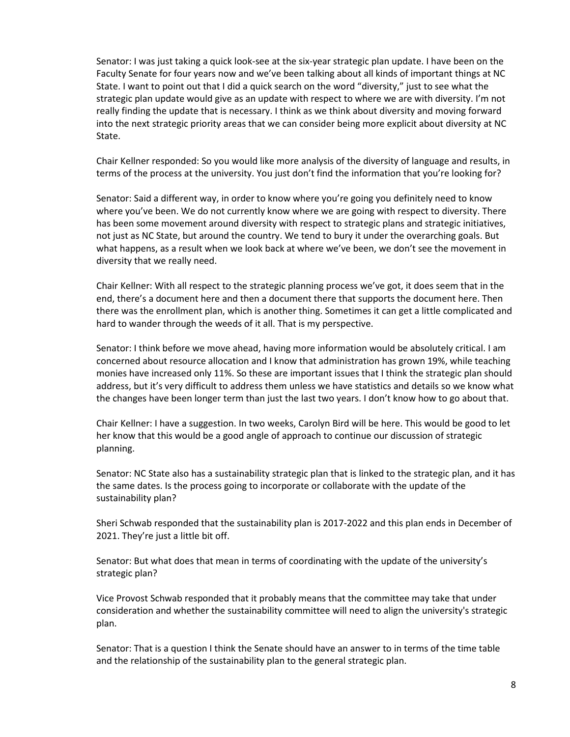Senator: I was just taking a quick look-see at the six-year strategic plan update. I have been on the Faculty Senate for four years now and we've been talking about all kinds of important things at NC State. I want to point out that I did a quick search on the word "diversity," just to see what the strategic plan update would give as an update with respect to where we are with diversity. I'm not really finding the update that is necessary. I think as we think about diversity and moving forward into the next strategic priority areas that we can consider being more explicit about diversity at NC State.

Chair Kellner responded: So you would like more analysis of the diversity of language and results, in terms of the process at the university. You just don't find the information that you're looking for?

Senator: Said a different way, in order to know where you're going you definitely need to know where you've been. We do not currently know where we are going with respect to diversity. There has been some movement around diversity with respect to strategic plans and strategic initiatives, not just as NC State, but around the country. We tend to bury it under the overarching goals. But what happens, as a result when we look back at where we've been, we don't see the movement in diversity that we really need.

Chair Kellner: With all respect to the strategic planning process we've got, it does seem that in the end, there's a document here and then a document there that supports the document here. Then there was the enrollment plan, which is another thing. Sometimes it can get a little complicated and hard to wander through the weeds of it all. That is my perspective.

Senator: I think before we move ahead, having more information would be absolutely critical. I am concerned about resource allocation and I know that administration has grown 19%, while teaching monies have increased only 11%. So these are important issues that I think the strategic plan should address, but it's very difficult to address them unless we have statistics and details so we know what the changes have been longer term than just the last two years. I don't know how to go about that.

Chair Kellner: I have a suggestion. In two weeks, Carolyn Bird will be here. This would be good to let her know that this would be a good angle of approach to continue our discussion of strategic planning.

Senator: NC State also has a sustainability strategic plan that is linked to the strategic plan, and it has the same dates. Is the process going to incorporate or collaborate with the update of the sustainability plan?

Sheri Schwab responded that the sustainability plan is 2017-2022 and this plan ends in December of 2021. They're just a little bit off.

Senator: But what does that mean in terms of coordinating with the update of the university's strategic plan?

Vice Provost Schwab responded that it probably means that the committee may take that under consideration and whether the sustainability committee will need to align the university's strategic plan.

Senator: That is a question I think the Senate should have an answer to in terms of the time table and the relationship of the sustainability plan to the general strategic plan.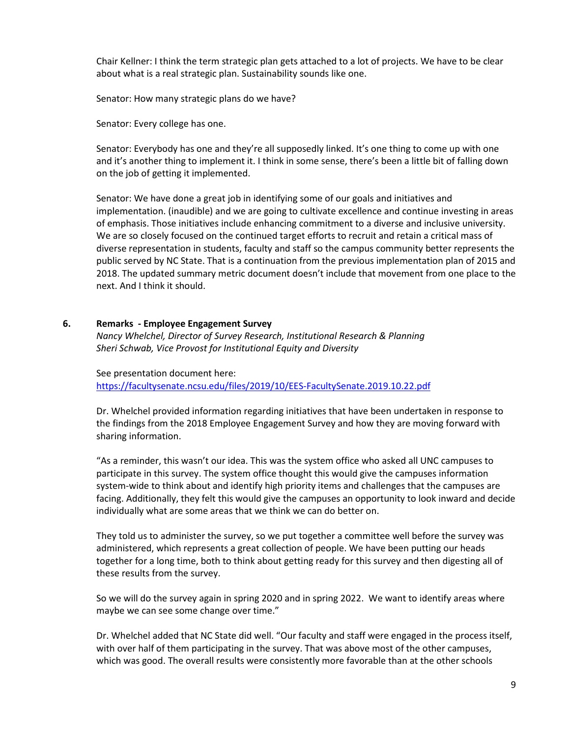Chair Kellner: I think the term strategic plan gets attached to a lot of projects. We have to be clear about what is a real strategic plan. Sustainability sounds like one.

Senator: How many strategic plans do we have?

Senator: Every college has one.

Senator: Everybody has one and they're all supposedly linked. It's one thing to come up with one and it's another thing to implement it. I think in some sense, there's been a little bit of falling down on the job of getting it implemented.

Senator: We have done a great job in identifying some of our goals and initiatives and implementation. (inaudible) and we are going to cultivate excellence and continue investing in areas of emphasis. Those initiatives include enhancing commitment to a diverse and inclusive university. We are so closely focused on the continued target efforts to recruit and retain a critical mass of diverse representation in students, faculty and staff so the campus community better represents the public served by NC State. That is a continuation from the previous implementation plan of 2015 and 2018. The updated summary metric document doesn't include that movement from one place to the next. And I think it should.

#### **6. Remarks - Employee Engagement Survey**

*Nancy Whelchel, Director of Survey Research, Institutional Research & Planning Sheri Schwab, Vice Provost for Institutional Equity and Diversity*

See presentation document here: <https://facultysenate.ncsu.edu/files/2019/10/EES-FacultySenate.2019.10.22.pdf>

Dr. Whelchel provided information regarding initiatives that have been undertaken in response to the findings from the 2018 Employee Engagement Survey and how they are moving forward with sharing information.

"As a reminder, this wasn't our idea. This was the system office who asked all UNC campuses to participate in this survey. The system office thought this would give the campuses information system-wide to think about and identify high priority items and challenges that the campuses are facing. Additionally, they felt this would give the campuses an opportunity to look inward and decide individually what are some areas that we think we can do better on.

They told us to administer the survey, so we put together a committee well before the survey was administered, which represents a great collection of people. We have been putting our heads together for a long time, both to think about getting ready for this survey and then digesting all of these results from the survey.

So we will do the survey again in spring 2020 and in spring 2022. We want to identify areas where maybe we can see some change over time."

Dr. Whelchel added that NC State did well. "Our faculty and staff were engaged in the process itself, with over half of them participating in the survey. That was above most of the other campuses, which was good. The overall results were consistently more favorable than at the other schools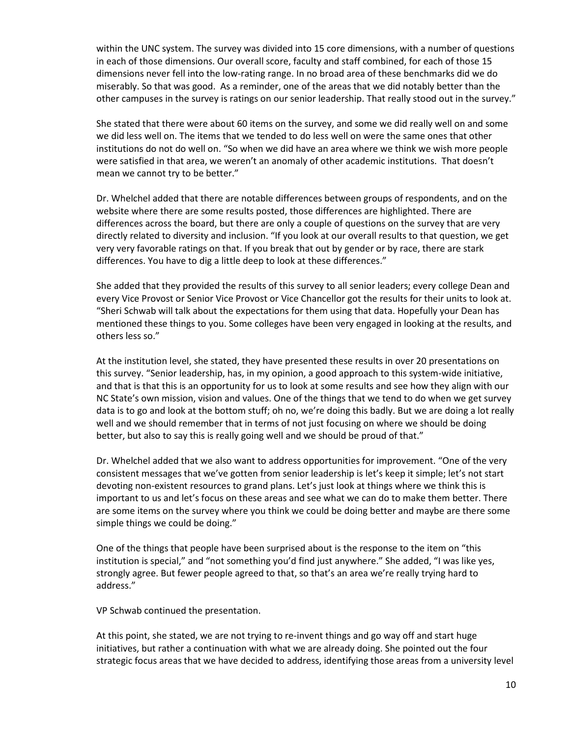within the UNC system. The survey was divided into 15 core dimensions, with a number of questions in each of those dimensions. Our overall score, faculty and staff combined, for each of those 15 dimensions never fell into the low-rating range. In no broad area of these benchmarks did we do miserably. So that was good. As a reminder, one of the areas that we did notably better than the other campuses in the survey is ratings on our senior leadership. That really stood out in the survey."

She stated that there were about 60 items on the survey, and some we did really well on and some we did less well on. The items that we tended to do less well on were the same ones that other institutions do not do well on. "So when we did have an area where we think we wish more people were satisfied in that area, we weren't an anomaly of other academic institutions. That doesn't mean we cannot try to be better."

Dr. Whelchel added that there are notable differences between groups of respondents, and on the website where there are some results posted, those differences are highlighted. There are differences across the board, but there are only a couple of questions on the survey that are very directly related to diversity and inclusion. "If you look at our overall results to that question, we get very very favorable ratings on that. If you break that out by gender or by race, there are stark differences. You have to dig a little deep to look at these differences."

She added that they provided the results of this survey to all senior leaders; every college Dean and every Vice Provost or Senior Vice Provost or Vice Chancellor got the results for their units to look at. "Sheri Schwab will talk about the expectations for them using that data. Hopefully your Dean has mentioned these things to you. Some colleges have been very engaged in looking at the results, and others less so."

At the institution level, she stated, they have presented these results in over 20 presentations on this survey. "Senior leadership, has, in my opinion, a good approach to this system-wide initiative, and that is that this is an opportunity for us to look at some results and see how they align with our NC State's own mission, vision and values. One of the things that we tend to do when we get survey data is to go and look at the bottom stuff; oh no, we're doing this badly. But we are doing a lot really well and we should remember that in terms of not just focusing on where we should be doing better, but also to say this is really going well and we should be proud of that."

Dr. Whelchel added that we also want to address opportunities for improvement. "One of the very consistent messages that we've gotten from senior leadership is let's keep it simple; let's not start devoting non-existent resources to grand plans. Let's just look at things where we think this is important to us and let's focus on these areas and see what we can do to make them better. There are some items on the survey where you think we could be doing better and maybe are there some simple things we could be doing."

One of the things that people have been surprised about is the response to the item on "this institution is special," and "not something you'd find just anywhere." She added, "I was like yes, strongly agree. But fewer people agreed to that, so that's an area we're really trying hard to address."

VP Schwab continued the presentation.

At this point, she stated, we are not trying to re-invent things and go way off and start huge initiatives, but rather a continuation with what we are already doing. She pointed out the four strategic focus areas that we have decided to address, identifying those areas from a university level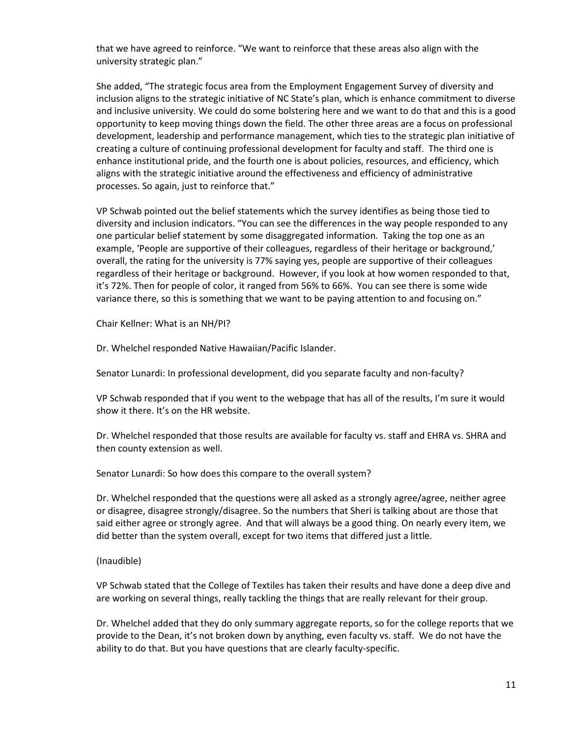that we have agreed to reinforce. "We want to reinforce that these areas also align with the university strategic plan."

She added, "The strategic focus area from the Employment Engagement Survey of diversity and inclusion aligns to the strategic initiative of NC State's plan, which is enhance commitment to diverse and inclusive university. We could do some bolstering here and we want to do that and this is a good opportunity to keep moving things down the field. The other three areas are a focus on professional development, leadership and performance management, which ties to the strategic plan initiative of creating a culture of continuing professional development for faculty and staff. The third one is enhance institutional pride, and the fourth one is about policies, resources, and efficiency, which aligns with the strategic initiative around the effectiveness and efficiency of administrative processes. So again, just to reinforce that."

VP Schwab pointed out the belief statements which the survey identifies as being those tied to diversity and inclusion indicators. "You can see the differences in the way people responded to any one particular belief statement by some disaggregated information. Taking the top one as an example, 'People are supportive of their colleagues, regardless of their heritage or background,' overall, the rating for the university is 77% saying yes, people are supportive of their colleagues regardless of their heritage or background. However, if you look at how women responded to that, it's 72%. Then for people of color, it ranged from 56% to 66%. You can see there is some wide variance there, so this is something that we want to be paying attention to and focusing on."

Chair Kellner: What is an NH/PI?

Dr. Whelchel responded Native Hawaiian/Pacific Islander.

Senator Lunardi: In professional development, did you separate faculty and non-faculty?

VP Schwab responded that if you went to the webpage that has all of the results, I'm sure it would show it there. It's on the HR website.

Dr. Whelchel responded that those results are available for faculty vs. staff and EHRA vs. SHRA and then county extension as well.

Senator Lunardi: So how does this compare to the overall system?

Dr. Whelchel responded that the questions were all asked as a strongly agree/agree, neither agree or disagree, disagree strongly/disagree. So the numbers that Sheri is talking about are those that said either agree or strongly agree. And that will always be a good thing. On nearly every item, we did better than the system overall, except for two items that differed just a little.

(Inaudible)

VP Schwab stated that the College of Textiles has taken their results and have done a deep dive and are working on several things, really tackling the things that are really relevant for their group.

Dr. Whelchel added that they do only summary aggregate reports, so for the college reports that we provide to the Dean, it's not broken down by anything, even faculty vs. staff. We do not have the ability to do that. But you have questions that are clearly faculty-specific.